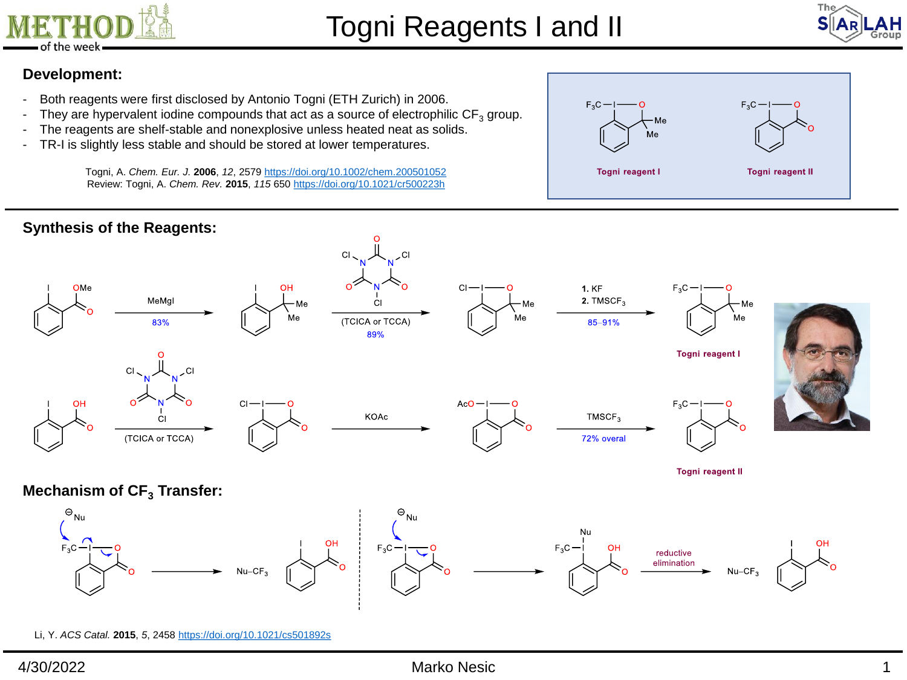



## **Development:**

- Both reagents were first disclosed by Antonio Togni (ETH Zurich) in 2006.
- They are hypervalent iodine compounds that act as a source of electrophilic  $CF_3$  group.
- The reagents are shelf-stable and nonexplosive unless heated neat as solids.
- TR-I is slightly less stable and should be stored at lower temperatures.

Togni, A. *Chem. Eur. J.* **2006**, *12*, 2579 <https://doi.org/10.1002/chem.200501052> Review: Togni, A. *Chem. Rev.* **2015**, *115* 650 <https://doi.org/10.1021/cr500223h>







Li, Y. *ACS Catal.* **2015**, *5*, 2458 <https://doi.org/10.1021/cs501892s>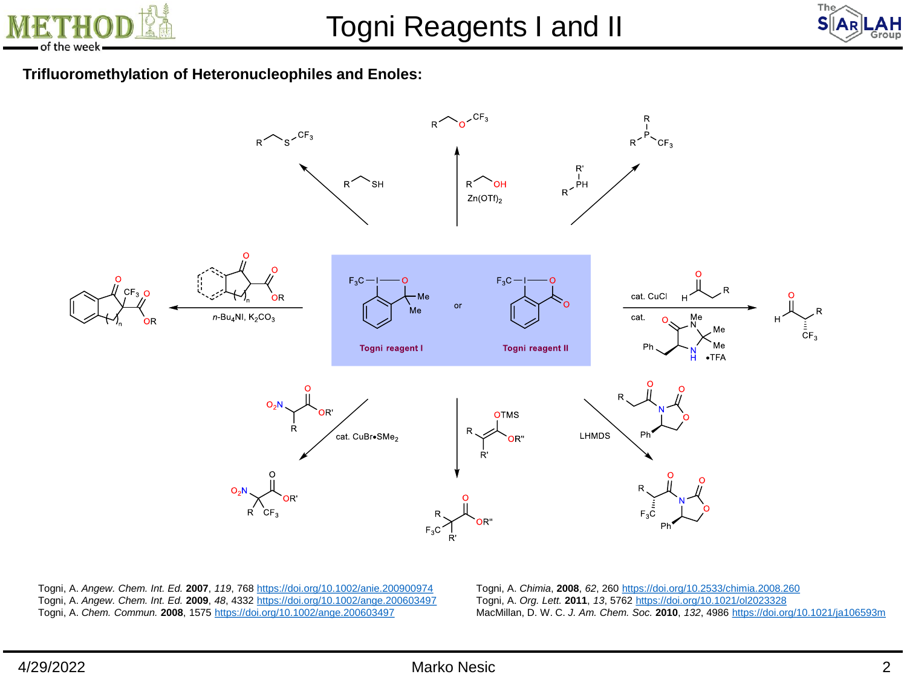



## **Trifluoromethylation of Heteronucleophiles and Enoles:**



Togni, A. *Angew. Chem. Int. Ed.* **2007**, *119*, 768 <https://doi.org/10.1002/anie.200900974> Togni, A. *Angew. Chem. Int. Ed.* **2009**, *48*, 4332 <https://doi.org/10.1002/ange.200603497> Togni, A. *Chem. Commun.* **2008**, 1575<https://doi.org/10.1002/ange.200603497>

Togni, A. *Chimia*, **2008**, *62*, 260 <https://doi.org/10.2533/chimia.2008.260> Togni, A. *Org. Lett.* **2011**, *13*, 5762 <https://doi.org/10.1021/ol2023328> MacMillan, D. W. C. *J. Am. Chem. Soc.* **2010**, *132*, 4986 <https://doi.org/10.1021/ja106593m>